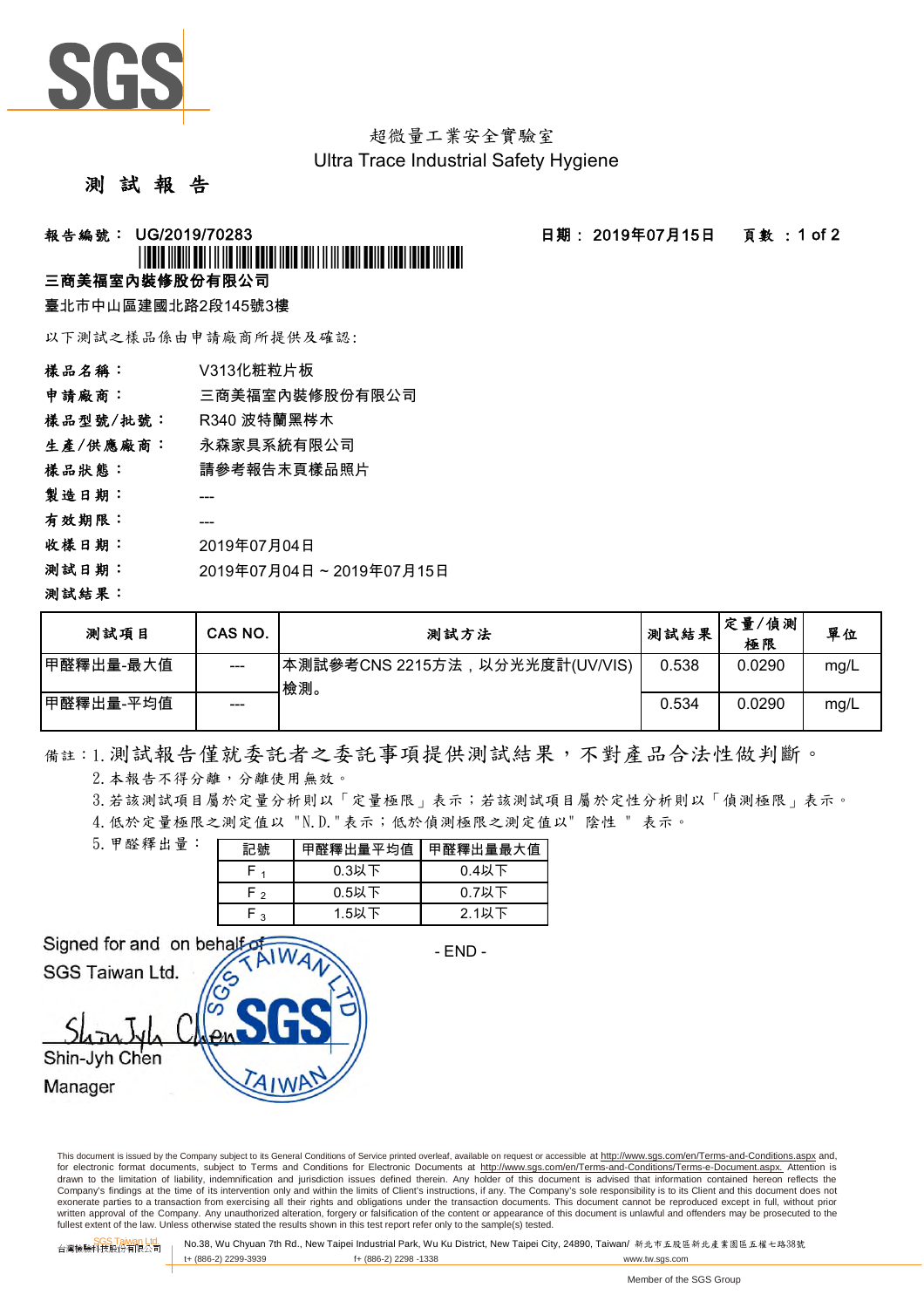

超微量工業安全實驗室 Ultra Trace Industrial Safety Hygiene

## 測 試 報 告

**報告編號: UG/2019/70283 - - - - - - - - - - - - - - 日期: 2019年07月15日 - - 頁數 : 1 of 2** 

## <u>\*UGO/2019/11/2019/11/11/2019/11/2019/11/2019</u>

## 三商美福室內裝修股份有限公司

臺北市中山區建國北路2段145號3樓

以下測試之樣品係由申請廠商所提供及確認:

| 樣品名稱:    | V313化粧粒片板               |
|----------|-------------------------|
| 申請廠商:    | 三商美福室內裝修股份有限公司          |
| 樣品型號/批號: | R340 波特蘭黑梣木             |
| 生產/供應廠商: | 永森家具系統有限公司              |
| 樣品狀態:    | 請參考報告末頁樣品照片             |
| 製造日期:    |                         |
| 有效期限:    |                         |
| 收樣日期:    | 2019年07月04日             |
| 测試日期:    | 2019年07月04日~2019年07月15日 |
| 測試結果:    |                         |

| 测試項目       | CAS NO. | 測試方法                                  | 测試結果  | 定量/偵測<br>極限 | 單位   |
|------------|---------|---------------------------------------|-------|-------------|------|
| 甲醛釋出量-最大值  | $---$   | 本測試參考CNS 2215方法,以分光光度計(UV/VIS)<br>檢測。 | 0.538 | 0.0290      | mg/L |
| ┃甲醛釋出量-平均值 | ---     |                                       | 0.534 | 0.0290      | mg/L |

備註:1.測試報告僅就委託者之委託事項提供測試結果,不對產品合法性做判斷。

2. 本報告不得分離,分離使用無效。

3.若該測試項目屬於定量分析則以「定量極限」表示;若該測試項目屬於定性分析則以「偵測極限」表示。

4.低於定量極限之測定值以 "N.D."表示;低於偵測極限之測定值以" 陰性 " 表示。

| 5. 甲醛釋出量: | 記號     | 甲醛釋出量平均值 | 甲醛釋出量最大值 |  |  |
|-----------|--------|----------|----------|--|--|
|           |        | $0.3$ 以下 | $0.4$ 以下 |  |  |
|           | $\sim$ | $0.5$ 以下 | $0.7$ 以下 |  |  |
|           | っ      | 1.5以下    | $2.1$ 以下 |  |  |

Signed for and on behalf

- END -

SGS Taiwan Ltd.

Shin-Jyh Chen

Manager

This document is issued by the Company subject to its General Conditions of Service printed overleaf, available on request or accessible at http://www.sgs.com/en/Terms-and-Conditions.aspx and, for electronic format documents, subject to Terms and Conditions for Electronic Documents at http://www.sgs.com/en/Terms-and-Conditions/Terms-e-Document.aspx. Attention is drawn to the limitation of liability, indemnification and jurisdiction issues defined therein. Any holder of this document is advised that information contained hereon reflects the<br>Company's findings at the time of its int exonerate parties to a transaction from exercising all their rights and obligations under the transaction documents. This document cannot be reproduced except in full, without prior written approval of the Company. Any unauthorized alteration, forgery or falsification of the content or appearance of this document is unlawful and offenders may be prosecuted to the<br>fullest extent of the law. Unless othe

SGS Taiwan Ltd. 台灣檢驗科技股份有限公司 No.38, Wu Chyuan 7th Rd., New Taipei Industrial Park, Wu Ku District, New Taipei City, 24890, Taiwan/ 新北市五股區新北產業園區五權七路38號 t+ (886-2) 2299-3939 f+ (886-2) 2298 -1338